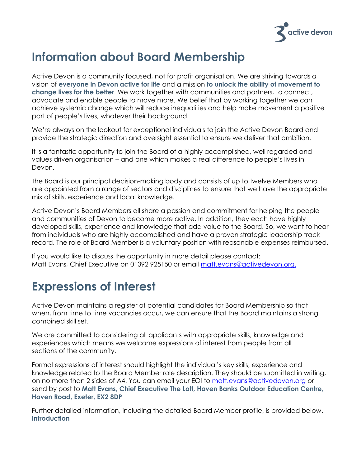

# **Information about Board Membership**

Active Devon is a community focused, not for profit organisation. We are striving towards a vision of **everyone in Devon active for life** and a mission **to unlock the ability of movement to change lives for the better**. We work together with communities and partners, to connect, advocate and enable people to move more. We belief that by working together we can achieve systemic change which will reduce inequalities and help make movement a positive part of people's lives, whatever their background.

We're always on the lookout for exceptional individuals to join the Active Devon Board and provide the strategic direction and oversight essential to ensure we deliver that ambition.

It is a fantastic opportunity to join the Board of a highly accomplished, well regarded and values driven organisation – and one which makes a real difference to people's lives in Devon.

The Board is our principal decision-making body and consists of up to twelve Members who are appointed from a range of sectors and disciplines to ensure that we have the appropriate mix of skills, experience and local knowledge.

Active Devon's Board Members all share a passion and commitment for helping the people and communities of Devon to become more active. In addition, they each have highly developed skills, experience and knowledge that add value to the Board. So, we want to hear from individuals who are highly accomplished and have a proven strategic leadership track record. The role of Board Member is a voluntary position with reasonable expenses reimbursed.

If you would like to discuss the opportunity in more detail please contact: Matt Evans, Chief Executive on 01392 925150 or email [matt.evans@activedevon.org.](mailto:matt.evans@devon.gov.uk)

## **Expressions of Interest**

Active Devon maintains a register of potential candidates for Board Membership so that when, from time to time vacancies occur, we can ensure that the Board maintains a strong combined skill set.

We are committed to considering all applicants with appropriate skills, knowledge and experiences which means we welcome expressions of interest from people from all sections of the community.

Formal expressions of interest should highlight the individual's key skills, experience and knowledge related to the Board Member role description. They should be submitted in writing, on no more than 2 sides of A4. You can email your EOI to [matt.evans@activedevon.org](mailto:matt.evans@devon.gov.uk) or send by post to **Matt Evans, Chief Executive The Loft, Haven Banks Outdoor Education Centre, Haven Road, Exeter, EX2 8DP**

Further detailed information, including the detailed Board Member profile, is provided below. **Introduction**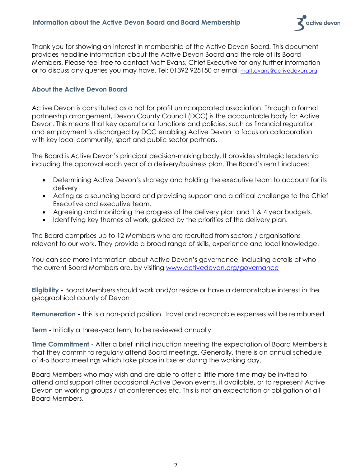

Thank you for showing an interest in membership of the Active Devon Board. This document provides headline information about the Active Devon Board and the role of its Board Members. Please feel free to contact Matt Evans, Chief Executive for any further information or to discuss any queries you may have. Tel: 01392 925150 or email [matt.evans@activedevon.org](mailto:matt.evans@activedevon.org)

## **About the Active Devon Board**

Active Devon is constituted as a not for profit unincorporated association. Through a formal partnership arrangement, Devon County Council (DCC) is the accountable body for Active Devon. This means that key operational functions and policies, such as financial regulation and employment is discharged by DCC enabling Active Devon to focus on collaboration with key local community, sport and public sector partners.

The Board is Active Devon's principal decision-making body. It provides strategic leadership including the approval each year of a delivery/business plan. The Board's remit includes:

- Determining Active Devon's strategy and holding the executive team to account for its delivery
- Acting as a sounding board and providing support and a critical challenge to the Chief Executive and executive team.
- Agreeing and monitoring the progress of the delivery plan and 1 & 4 year budgets.
- Identifying key themes of work, guided by the priorities of the delivery plan.

The Board comprises up to 12 Members who are recruited from sectors / organisations relevant to our work. They provide a broad range of skills, experience and local knowledge.

You can see more information about Active Devon's governance, including details of who the current Board Members are, by visiting [www.activedevon.org/governance](http://www.activedevon.org/governance) 

**Eligibility -** Board Members should work and/or reside or have a demonstrable interest in the geographical county of Devon

**Remuneration -** This is a non-paid position. Travel and reasonable expenses will be reimbursed

**Term -** Initially a three-year term, to be reviewed annually

**Time Commitment -** After a brief initial induction meeting the expectation of Board Members is that they commit to regularly attend Board meetings. Generally, there is an annual schedule of 4-5 Board meetings which take place in Exeter during the working day.

Board Members who may wish and are able to offer a little more time may be invited to attend and support other occasional Active Devon events, if available, or to represent Active Devon on working groups / at conferences etc. This is not an expectation or obligation of all Board Members.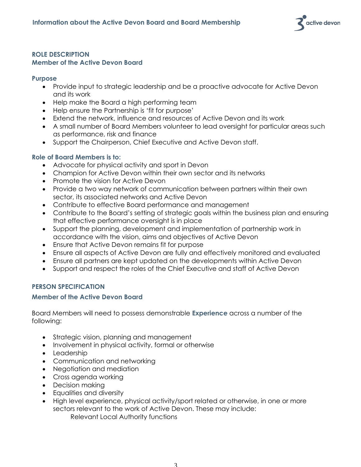

### **ROLE DESCRIPTION Member of the Active Devon Board**

#### **Purpose**

- Provide input to strategic leadership and be a proactive advocate for Active Devon and its work
- Help make the Board a high performing team
- Help ensure the Partnership is 'fit for purpose'
- Extend the network, influence and resources of Active Devon and its work
- A small number of Board Members volunteer to lead oversight for particular areas such as performance, risk and finance
- Support the Chairperson, Chief Executive and Active Devon staff.

## **Role of Board Members is to:**

- Advocate for physical activity and sport in Devon
- Champion for Active Devon within their own sector and its networks
- Promote the vision for Active Devon
- Provide a two way network of communication between partners within their own sector, its associated networks and Active Devon
- Contribute to effective Board performance and management
- Contribute to the Board's setting of strategic goals within the business plan and ensuring that effective performance oversight is in place
- Support the planning, development and implementation of partnership work in accordance with the vision, aims and objectives of Active Devon
- Ensure that Active Devon remains fit for purpose
- Ensure all aspects of Active Devon are fully and effectively monitored and evaluated
- Ensure all partners are kept updated on the developments within Active Devon
- Support and respect the roles of the Chief Executive and staff of Active Devon

## **PERSON SPECIFICATION**

## **Member of the Active Devon Board**

Board Members will need to possess demonstrable **Experience** across a number of the following:

- Strategic vision, planning and management
- Involvement in physical activity, formal or otherwise
- Leadership
- Communication and networking
- Negotiation and mediation
- Cross agenda working
- Decision making
- Equalities and diversity
- High level experience, physical activity/sport related or otherwise, in one or more sectors relevant to the work of Active Devon. These may include: Relevant Local Authority functions